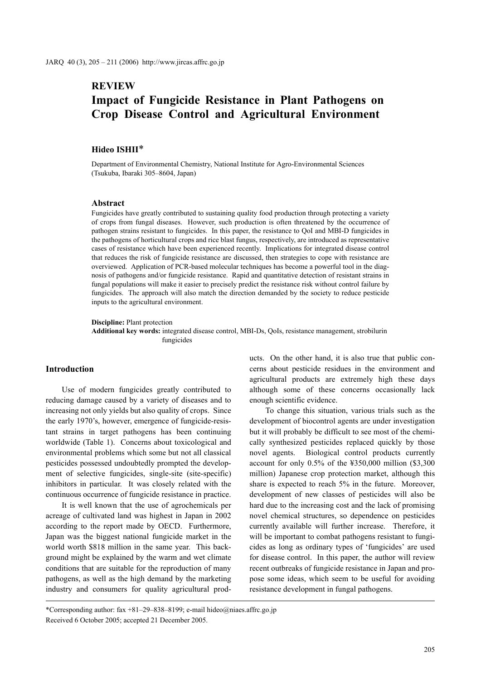# **REVIEW**

# **Impact of Fungicide Resistance in Plant Pathogens on Crop Disease Control and Agricultural Environment**

## **Hideo ISHII**\*

Department of Environmental Chemistry, National Institute for Agro-Environmental Sciences (Tsukuba, Ibaraki 305–8604, Japan)

#### **Abstract**

Fungicides have greatly contributed to sustaining quality food production through protecting a variety of crops from fungal diseases. However, such production is often threatened by the occurrence of pathogen strains resistant to fungicides. In this paper, the resistance to QoI and MBI-D fungicides in the pathogens of horticultural crops and rice blast fungus, respectively, are introduced as representative cases of resistance which have been experienced recently. Implications for integrated disease control that reduces the risk of fungicide resistance are discussed, then strategies to cope with resistance are overviewed. Application of PCR-based molecular techniques has become a powerful tool in the diagnosis of pathogens and/or fungicide resistance. Rapid and quantitative detection of resistant strains in fungal populations will make it easier to precisely predict the resistance risk without control failure by fungicides. The approach will also match the direction demanded by the society to reduce pesticide inputs to the agricultural environment.

**Discipline:** Plant protection

**Additional key words:** integrated disease control, MBI-Ds, QoIs, resistance management, strobilurin fungicides

#### **Introduction**

Use of modern fungicides greatly contributed to reducing damage caused by a variety of diseases and to increasing not only yields but also quality of crops. Since the early 1970's, however, emergence of fungicide-resistant strains in target pathogens has been continuing worldwide (Table 1). Concerns about toxicological and environmental problems which some but not all classical pesticides possessed undoubtedly prompted the development of selective fungicides, single-site (site-specific) inhibitors in particular. It was closely related with the continuous occurrence of fungicide resistance in practice.

It is well known that the use of agrochemicals per acreage of cultivated land was highest in Japan in 2002 according to the report made by OECD. Furthermore, Japan was the biggest national fungicide market in the world worth \$818 million in the same year. This background might be explained by the warm and wet climate conditions that are suitable for the reproduction of many pathogens, as well as the high demand by the marketing industry and consumers for quality agricultural products. On the other hand, it is also true that public concerns about pesticide residues in the environment and agricultural products are extremely high these days although some of these concerns occasionally lack enough scientific evidence.

To change this situation, various trials such as the development of biocontrol agents are under investigation but it will probably be difficult to see most of the chemically synthesized pesticides replaced quickly by those novel agents. Biological control products currently account for only 0.5% of the ¥350,000 million (\$3,300 million) Japanese crop protection market, although this share is expected to reach 5% in the future. Moreover, development of new classes of pesticides will also be hard due to the increasing cost and the lack of promising novel chemical structures, so dependence on pesticides currently available will further increase. Therefore, it will be important to combat pathogens resistant to fungicides as long as ordinary types of 'fungicides' are used for disease control. In this paper, the author will review recent outbreaks of fungicide resistance in Japan and propose some ideas, which seem to be useful for avoiding resistance development in fungal pathogens.

<sup>\*</sup>Corresponding author: fax +81–29–838–8199; e-mail hideo@niaes.affrc.go.jp Received 6 October 2005; accepted 21 December 2005.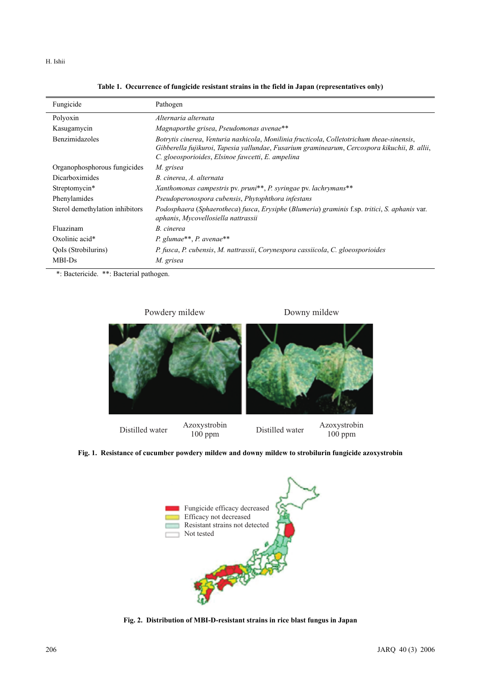H. Ishii

| Fungicide                       | Pathogen                                                                                                                                                                                                                                         |
|---------------------------------|--------------------------------------------------------------------------------------------------------------------------------------------------------------------------------------------------------------------------------------------------|
| Polyoxin                        | Alternaria alternata                                                                                                                                                                                                                             |
| Kasugamycin                     | Magnaporthe grisea, Pseudomonas avenae**                                                                                                                                                                                                         |
| Benzimidazoles                  | Botrytis cinerea, Venturia nashicola, Monilinia fructicola, Colletotrichum theae-sinensis,<br>Gibberella fujikuroi, Tapesia yallundae, Fusarium graminearum, Cercospora kikuchii, B. allii,<br>C. gloeosporioides, Elsinoe fawcetti, E. ampelina |
| Organophosphorous fungicides    | M. grisea                                                                                                                                                                                                                                        |
| Dicarboximides                  | B. cinerea, A. alternata                                                                                                                                                                                                                         |
| Streptomycin*                   | Xanthomonas campestris pv. pruni**, P. syringae pv. lachrymans**                                                                                                                                                                                 |
| Phenylamides                    | Pseudoperonospora cubensis, Phytophthora infestans                                                                                                                                                                                               |
| Sterol demethylation inhibitors | Podosphaera (Sphaerotheca) fusca, Erysiphe (Blumeria) graminis f.sp. tritici, S. aphanis var.<br>aphanis, Mycovellosiella nattrassii                                                                                                             |
| Fluazinam                       | B. cinerea                                                                                                                                                                                                                                       |
| Oxolinic acid*                  | P. glumae**, P. avenae**                                                                                                                                                                                                                         |
| QoIs (Strobilurins)             | P. fusca, P. cubensis, M. nattrassii, Corynespora cassiicola, C. gloeosporioides                                                                                                                                                                 |
| MBI-Ds                          | M. grisea                                                                                                                                                                                                                                        |

**Table 1. Occurrence of fungicide resistant strains in the field in Japan (representatives only)**

\*: Bactericide.\*\*: Bacterial pathogen.

Powdery mildew Distilled water Azoxystrobin<br>100 ppm  $\frac{\text{Azoxystrobin}}{100 \text{ mm}}$ 100 ppm Downy mildew

**Fig. 1. Resistance of cucumber powdery mildew and downy mildew to strobilurin fungicide azoxystrobin**



**Fig. 2. Distribution of MBI-D-resistant strains in rice blast fungus in Japan**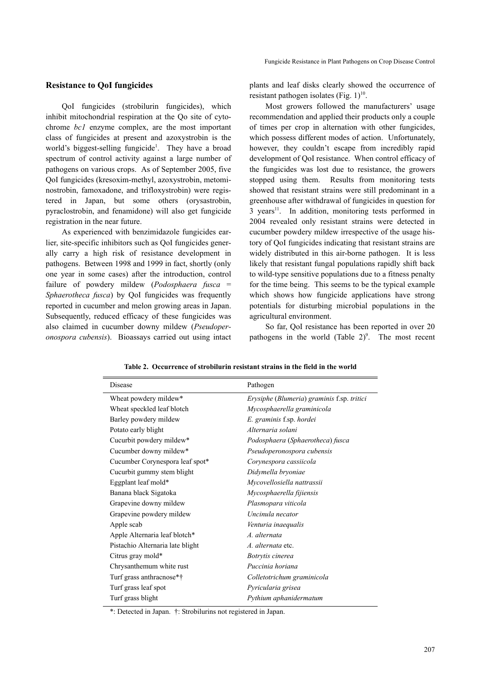### **Resistance to QoI fungicides**

QoI fungicides (strobilurin fungicides), which inhibit mitochondrial respiration at the Qo site of cytochrome *bc1* enzyme complex, are the most important class of fungicides at present and azoxystrobin is the world's biggest-selling fungicide<sup>1</sup>. They have a broad spectrum of control activity against a large number of pathogens on various crops. As of September 2005, five QoI fungicides (kresoxim-methyl, azoxystrobin, metominostrobin, famoxadone, and trifloxystrobin) were registered in Japan, but some others (orysastrobin, pyraclostrobin, and fenamidone) will also get fungicide registration in the near future.

As experienced with benzimidazole fungicides earlier, site-specific inhibitors such as QoI fungicides generally carry a high risk of resistance development in pathogens. Between 1998 and 1999 in fact, shortly (only one year in some cases) after the introduction, control failure of powdery mildew (*Podosphaera fusca* = *Sphaerotheca fusca*) by QoI fungicides was frequently reported in cucumber and melon growing areas in Japan. Subsequently, reduced efficacy of these fungicides was also claimed in cucumber downy mildew (*Pseudoperonospora cubensis*). Bioassays carried out using intact plants and leaf disks clearly showed the occurrence of resistant pathogen isolates (Fig.  $1$ )<sup>10</sup>.

Most growers followed the manufacturers' usage recommendation and applied their products only a couple of times per crop in alternation with other fungicides, which possess different modes of action. Unfortunately, however, they couldn't escape from incredibly rapid development of QoI resistance. When control efficacy of the fungicides was lost due to resistance, the growers stopped using them. Results from monitoring tests showed that resistant strains were still predominant in a greenhouse after withdrawal of fungicides in question for  $3$  years<sup>11</sup>. In addition, monitoring tests performed in 2004 revealed only resistant strains were detected in cucumber powdery mildew irrespective of the usage history of QoI fungicides indicating that resistant strains are widely distributed in this air-borne pathogen. It is less likely that resistant fungal populations rapidly shift back to wild-type sensitive populations due to a fitness penalty for the time being. This seems to be the typical example which shows how fungicide applications have strong potentials for disturbing microbial populations in the agricultural environment.

So far, QoI resistance has been reported in over 20 pathogens in the world  $(Table 2)^9$ . The most recent

| Disease                          | Pathogen                                                   |  |  |
|----------------------------------|------------------------------------------------------------|--|--|
| Wheat powdery mildew*            | <i>Erysiphe</i> ( <i>Blumeria</i> ) graminis f.sp. tritici |  |  |
| Wheat speckled leaf blotch       | Mycosphaerella graminicola                                 |  |  |
| Barley powdery mildew            | E. graminis f.sp. hordei                                   |  |  |
| Potato early blight              | Alternaria solani                                          |  |  |
| Cucurbit powdery mildew*         | Podosphaera (Sphaerotheca) fusca                           |  |  |
| Cucumber downy mildew*           | Pseudoperonospora cubensis                                 |  |  |
| Cucumber Corynespora leaf spot*  | Corynespora cassiicola                                     |  |  |
| Cucurbit gummy stem blight       | Didymella bryoniae                                         |  |  |
| Eggplant leaf mold*              | Mycovellosiella nattrassii                                 |  |  |
| Banana black Sigatoka            | Mycosphaerella fijiensis                                   |  |  |
| Grapevine downy mildew           | Plasmopara viticola                                        |  |  |
| Grapevine powdery mildew         | Uncinula necator                                           |  |  |
| Apple scab                       | Venturia inaequalis                                        |  |  |
| Apple Alternaria leaf blotch*    | A. alternata                                               |  |  |
| Pistachio Alternaria late blight | A. alternata etc.                                          |  |  |
| Citrus gray mold*                | Botrytis cinerea                                           |  |  |
| Chrysanthemum white rust         | Puccinia horiana                                           |  |  |
| Turf grass anthracnose*†         | Colletotrichum graminicola                                 |  |  |
| Turf grass leaf spot             | Pyricularia grisea                                         |  |  |
| Turf grass blight                | Pythium aphanidermatum                                     |  |  |

**Table 2. Occurrence of strobilurin resistant strains in the field in the world**

\*: Detected in Japan. †: Strobilurins not registered in Japan.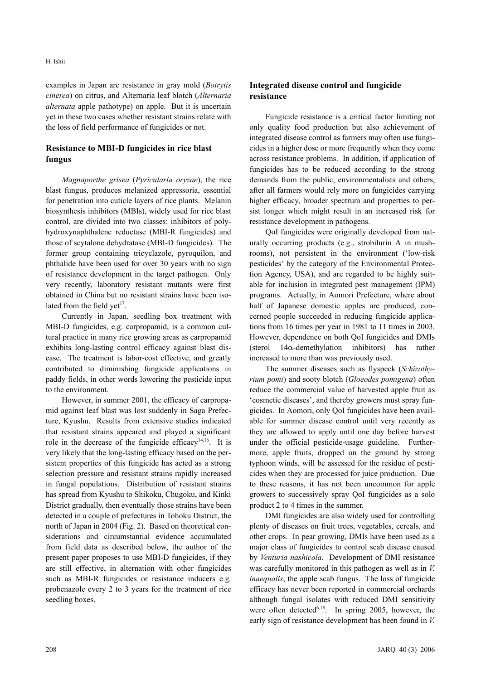examples in Japan are resistance in gray mold (*Botrytis cinerea*) on citrus, and Alternaria leaf blotch (*Alternaria alternata* apple pathotype) on apple. But it is uncertain yet in these two cases whether resistant strains relate with the loss of field performance of fungicides or not.

## **Resistance to MBI-D fungicides in rice blast fungus**

*Magnaporthe grisea* (*Pyricularia oryzae*), the rice blast fungus, produces melanized appressoria, essential for penetration into cuticle layers of rice plants.Melanin biosynthesis inhibitors (MBIs), widely used for rice blast control, are divided into two classes: inhibitors of polyhydroxynaphthalene reductase (MBI-R fungicides) and those of scytalone dehydratase (MBI-D fungicides). The former group containing tricyclazole, pyroquilon, and phthalide have been used for over 30 years with no sign of resistance development in the target pathogen. Only very recently, laboratory resistant mutants were first obtained in China but no resistant strains have been isolated from the field yet<sup>17</sup>.

Currently in Japan, seedling box treatment with MBI-D fungicides, e.g. carpropamid, is a common cultural practice in many rice growing areas as carpropamid exhibits long-lasting control efficacy against blast disease. The treatment is labor-cost effective, and greatly contributed to diminishing fungicide applications in paddy fields, in other words lowering the pesticide input to the environment.

However, in summer 2001, the efficacy of carpropamid against leaf blast was lost suddenly in Saga Prefecture, Kyushu. Results from extensive studies indicated that resistant strains appeared and played a significant role in the decrease of the fungicide efficacy<sup>14,16</sup>. It is very likely that the long-lasting efficacy based on the persistent properties of this fungicide has acted as a strong selection pressure and resistant strains rapidly increased in fungal populations. Distribution of resistant strains has spread from Kyushu to Shikoku, Chugoku, and Kinki District gradually, then eventually those strains have been detected in a couple of prefectures in Tohoku District, the north of Japan in 2004 (Fig. 2). Based on theoretical considerations and circumstantial evidence accumulated from field data as described below, the author of the present paper proposes to use MBI-D fungicides, if they are still effective, in alternation with other fungicides such as MBI-R fungicides or resistance inducers e.g. probenazole every 2 to 3 years for the treatment of rice seedling boxes.

## **Integrated disease control and fungicide resistance**

Fungicide resistance is a critical factor limiting not only quality food production but also achievement of integrated disease control as farmers may often use fungicides in a higher dose or more frequently when they come across resistance problems. In addition, if application of fungicides has to be reduced according to the strong demands from the public, environmentalists and others, after all farmers would rely more on fungicides carrying higher efficacy, broader spectrum and properties to persist longer which might result in an increased risk for resistance development in pathogens.

QoI fungicides were originally developed from naturally occurring products (e.g., strobilurin A in mushrooms), not persistent in the environment ('low-risk pesticides' by the category of the Environmental Protection Agency, USA), and are regarded to be highly suitable for inclusion in integrated pest management (IPM) programs. Actually, in Aomori Prefecture, where about half of Japanese domestic apples are produced, concerned people succeeded in reducing fungicide applications from 16 times per year in 1981 to 11 times in 2003. However, dependence on both QoI fungicides and DMIs (sterol 14α-demethylation inhibitors) has rather increased to more than was previously used.

The summer diseases such as flyspeck (*Schizothyrium pomi*) and sooty blotch (*Gloeodes pomigena*) often reduce the commercial value of harvested apple fruit as 'cosmetic diseases', and thereby growers must spray fungicides. In Aomori, only QoI fungicides have been available for summer disease control until very recently as they are allowed to apply until one day before harvest under the official pesticide-usage guideline. Furthermore, apple fruits, dropped on the ground by strong typhoon winds, will be assessed for the residue of pesticides when they are processed for juice production. Due to these reasons, it has not been uncommon for apple growers to successively spray QoI fungicides as a solo product 2 to 4 times in the summer.

DMI fungicides are also widely used for controlling plenty of diseases on fruit trees, vegetables, cereals, and other crops. In pear growing, DMIs have been used as a major class of fungicides to control scab disease caused by *Venturia nashicola*. Development of DMI resistance was carefully monitored in this pathogen as well as in *V. inaequalis*, the apple scab fungus. The loss of fungicide efficacy has never been reported in commercial orchards although fungal isolates with reduced DMI sensitivity were often detected<sup> $6,15$ </sup>. In spring 2005, however, the early sign of resistance development has been found in *V.*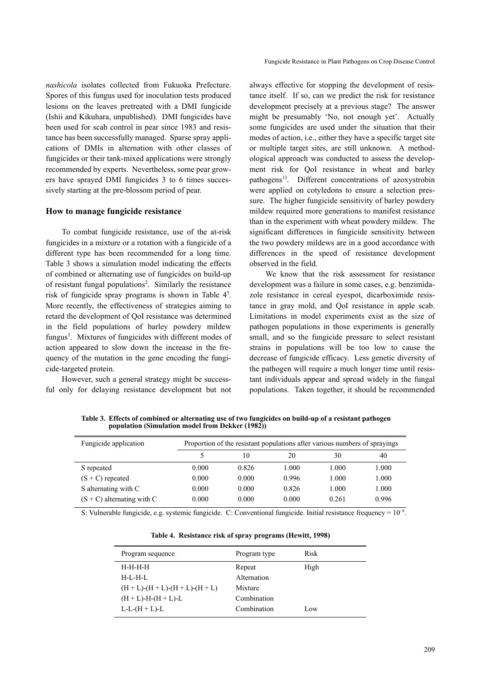*nashicola* isolates collected from Fukuoka Prefecture. Spores of this fungus used for inoculation tests produced lesions on the leaves pretreated with a DMI fungicide (Ishii and Kikuhara, unpublished). DMI fungicides have been used for scab control in pear since 1983 and resistance has been successfully managed. Sparse spray applications of DMIs in alternation with other classes of fungicides or their tank-mixed applications were strongly recommended by experts. Nevertheless, some pear growers have sprayed DMI fungicides 3 to 6 times successively starting at the pre-blossom period of pear.

## **How to manage fungicide resistance**

To combat fungicide resistance, use of the at-risk fungicides in a mixture or a rotation with a fungicide of a different type has been recommended for a long time. Table 3 shows a simulation model indicating the effects of combined or alternating use of fungicides on build-up of resistant fungal populations<sup>2</sup>. Similarly the resistance risk of fungicide spray programs is shown in Table  $4<sup>5</sup>$ . More recently, the effectiveness of strategies aiming to retard the development of QoI resistance was determined in the field populations of barley powdery mildew fungus<sup>3</sup>. Mixtures of fungicides with different modes of action appeared to slow down the increase in the frequency of the mutation in the gene encoding the fungicide-targeted protein.

However, such a general strategy might be successful only for delaying resistance development but not always effective for stopping the development of resistance itself. If so, can we predict the risk for resistance development precisely at a previous stage? The answer might be presumably 'No, not enough yet'. Actually some fungicides are used under the situation that their modes of action, i.e., either they have a specific target site or multiple target sites, are still unknown. A methodological approach was conducted to assess the development risk for QoI resistance in wheat and barley pathogens<sup>13</sup>. Different concentrations of azoxystrobin were applied on cotyledons to ensure a selection pressure. The higher fungicide sensitivity of barley powdery mildew required more generations to manifest resistance than in the experiment with wheat powdery mildew. The significant differences in fungicide sensitivity between the two powdery mildews are in a good accordance with differences in the speed of resistance development observed in the field.

We know that the risk assessment for resistance development was a failure in some cases, e.g. benzimidazole resistance in cereal eyespot, dicarboximide resistance in gray mold, and QoI resistance in apple scab. Limitations in model experiments exist as the size of pathogen populations in those experiments is generally small, and so the fungicide pressure to select resistant strains in populations will be too low to cause the decrease of fungicide efficacy. Less genetic diversity of the pathogen will require a much longer time until resistant individuals appear and spread widely in the fungal populations. Taken together, it should be recommended

**Table 3. Effects of combined or alternating use of two fungicides on build-up of a resistant pathogen population (Simulation model from Dekker (1982))**

| Fungicide application        | Proportion of the resistant populations after various numbers of sprayings |       |       |       |       |
|------------------------------|----------------------------------------------------------------------------|-------|-------|-------|-------|
|                              |                                                                            | 10    | 20    | 30    | 40    |
| S repeated                   | 0.000                                                                      | 0.826 | 1.000 | 1.000 | 1.000 |
| $(S + C)$ repeated           | 0.000                                                                      | 0.000 | 0.996 | 1.000 | 1.000 |
| S alternating with C         | 0.000                                                                      | 0.000 | 0.826 | 1.000 | 1.000 |
| $(S + C)$ alternating with C | 0.000                                                                      | 0.000 | 0.000 | 0.261 | 0.996 |

S: Vulnerable fungicide, e.g. systemic fungicide. C: Conventional fungicide. Initial resistance frequency =  $10^{-9}$ .

| Program sequence                              | Program type | Risk |
|-----------------------------------------------|--------------|------|
| H-H-H-H                                       | Repeat       | High |
| H-L-H-L                                       | Alternation  |      |
| $(H + L)$ - $(H + L)$ - $(H + L)$ - $(H + L)$ | Mixture      |      |
| $(H + L)$ -H- $(H + L)$ -L                    | Combination  |      |
| $L-L-(H+L)-L$                                 | Combination  | Low  |
|                                               |              |      |

**Table 4. Resistance risk of spray programs (Hewitt, 1998)**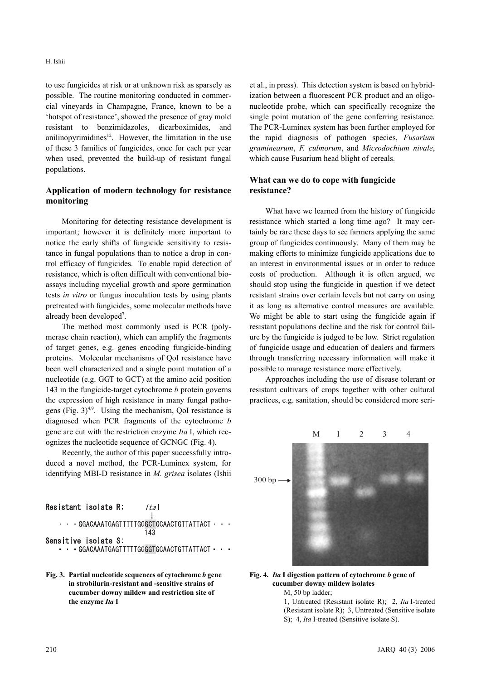to use fungicides at risk or at unknown risk as sparsely as possible. The routine monitoring conducted in commercial vineyards in Champagne, France, known to be a 'hotspot of resistance', showed the presence of gray mold resistant to benzimidazoles, dicarboximides, and anilinopyrimidines $12$ . However, the limitation in the use of these 3 families of fungicides, once for each per year when used, prevented the build-up of resistant fungal populations.

## **Application of modern technology for resistance monitoring**

Monitoring for detecting resistance development is important; however it is definitely more important to notice the early shifts of fungicide sensitivity to resistance in fungal populations than to notice a drop in control efficacy of fungicides. To enable rapid detection of resistance, which is often difficult with conventional bioassays including mycelial growth and spore germination tests *in vitro* or fungus inoculation tests by using plants pretreated with fungicides, some molecular methods have already been developed<sup>7</sup>.

The method most commonly used is PCR (polymerase chain reaction), which can amplify the fragments of target genes, e.g. genes encoding fungicide-binding proteins. Molecular mechanisms of QoI resistance have been well characterized and a single point mutation of a nucleotide (e.g. GGT to GCT) at the amino acid position 143 in the fungicide-target cytochrome *b* protein governs the expression of high resistance in many fungal pathogens (Fig.  $3)^{4,9}$ . Using the mechanism, QoI resistance is diagnosed when PCR fragments of the cytochrome *b* gene are cut with the restriction enzyme *Ita* I, which recognizes the nucleotide sequence of GCNGC (Fig. 4).

Recently, the author of this paper successfully introduced a novel method, the PCR-Luminex system, for identifying MBI-D resistance in *M. grisea* isolates (Ishii

| Resistant isolate R: | ta                                             |
|----------------------|------------------------------------------------|
|                      | . GGACAAATGAGTTTTTGGGCTGCAACTGTTATTACT.<br>143 |
| Sensitive isolate S: | . GGACAAATGAGTTTTTGGGGTGCAACTGTTATTACT         |

**Fig. 3. Partial nucleotide sequences of cytochrome** *b* **gene in strobilurin-resistant and -sensitive strains of cucumber downy mildew and restriction site of the enzyme** *Ita* **I**

et al., in press). This detection system is based on hybridization between a fluorescent PCR product and an oligonucleotide probe, which can specifically recognize the single point mutation of the gene conferring resistance. The PCR-Luminex system has been further employed for the rapid diagnosis of pathogen species, *Fusarium graminearum*, *F. culmorum*, and *Microdochium nivale*, which cause Fusarium head blight of cereals.

## **What can we do to cope with fungicide resistance?**

What have we learned from the history of fungicide resistance which started a long time ago? It may certainly be rare these days to see farmers applying the same group of fungicides continuously. Many of them may be making efforts to minimize fungicide applications due to an interest in environmental issues or in order to reduce costs of production. Although it is often argued, we should stop using the fungicide in question if we detect resistant strains over certain levels but not carry on using it as long as alternative control measures are available. We might be able to start using the fungicide again if resistant populations decline and the risk for control failure by the fungicide is judged to be low. Strict regulation of fungicide usage and education of dealers and farmers through transferring necessary information will make it possible to manage resistance more effectively.

Approaches including the use of disease tolerant or resistant cultivars of crops together with other cultural practices, e.g. sanitation, should be considered more seri-



#### **Fig. 4.** *Ita* **I digestion pattern of cytochrome** *b* **gene of cucumber downy mildew isolates** M, 50 bp ladder;

1, Untreated (Resistant isolate R); 2, *Ita* I-treated (Resistant isolate R); 3, Untreated (Sensitive isolate S); 4, *Ita* I-treated (Sensitive isolate S).